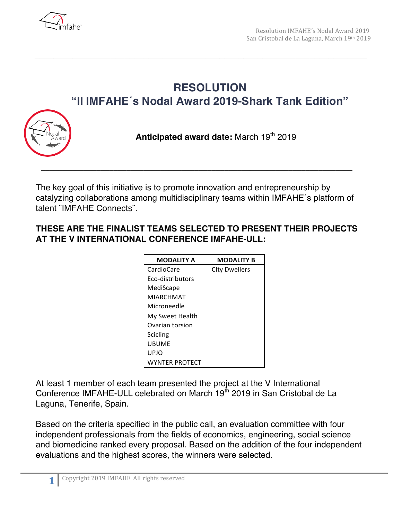

## **RESOLUTION "II IMFAHE´s Nodal Award 2019-Shark Tank Edition"**

\_\_\_\_\_\_\_\_\_\_\_\_\_\_\_\_\_\_\_\_\_\_\_\_\_\_\_\_\_\_\_\_\_\_\_\_\_\_\_\_\_\_\_\_\_\_\_\_\_\_\_\_\_\_\_\_\_\_\_\_\_\_\_\_\_\_\_\_\_\_



The key goal of this initiative is to promote innovation and entrepreneurship by catalyzing collaborations among multidisciplinary teams within IMFAHE´s platform of talent ¨IMFAHE Connects¨.

 $\frac{1}{2}$  ,  $\frac{1}{2}$  ,  $\frac{1}{2}$  ,  $\frac{1}{2}$  ,  $\frac{1}{2}$  ,  $\frac{1}{2}$  ,  $\frac{1}{2}$  ,  $\frac{1}{2}$  ,  $\frac{1}{2}$  ,  $\frac{1}{2}$  ,  $\frac{1}{2}$  ,  $\frac{1}{2}$  ,  $\frac{1}{2}$  ,  $\frac{1}{2}$  ,  $\frac{1}{2}$  ,  $\frac{1}{2}$  ,  $\frac{1}{2}$  ,  $\frac{1}{2}$  ,  $\frac{1$ 

## **THESE ARE THE FINALIST TEAMS SELECTED TO PRESENT THEIR PROJECTS AT THE V INTERNATIONAL CONFERENCE IMFAHE-ULL:**

| <b>MODALITY A</b>     | <b>MODALITY B</b>    |
|-----------------------|----------------------|
| CardioCare            | <b>City Dwellers</b> |
| Eco-distributors      |                      |
| MediScape             |                      |
| MIARCHMAT             |                      |
| Microneedle           |                      |
| My Sweet Health       |                      |
| Ovarian torsion       |                      |
| Scicling              |                      |
| UBUMF                 |                      |
| UPJO                  |                      |
| <b>WYNTER PROTECT</b> |                      |

At least 1 member of each team presented the project at the V International Conference IMFAHE-ULL celebrated on March 19<sup>th</sup> 2019 in San Cristobal de La Laguna, Tenerife, Spain.

Based on the criteria specified in the public call, an evaluation committee with four independent professionals from the fields of economics, engineering, social science and biomedicine ranked every proposal. Based on the addition of the four independent evaluations and the highest scores, the winners were selected.